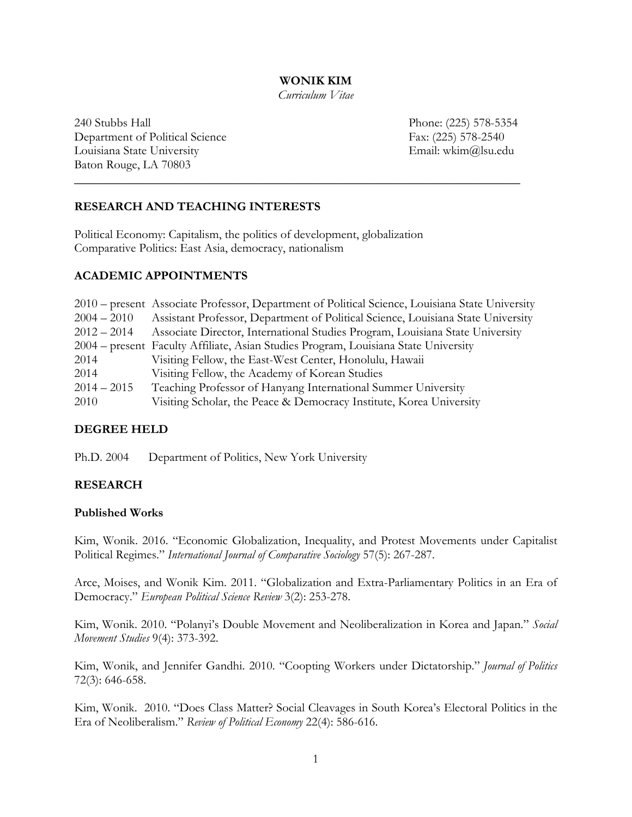**WONIK KIM**

*Curriculum Vitae*

**\_\_\_\_\_\_\_\_\_\_\_\_\_\_\_\_\_\_\_\_\_\_\_\_\_\_\_\_\_\_\_\_\_\_\_\_\_\_\_\_\_\_\_\_\_\_\_\_\_\_\_\_\_\_\_\_\_\_\_\_\_\_\_\_\_\_\_\_\_\_\_\_**

240 Stubbs Hall Phone: (225) 578-5354 Department of Political Science Fax: (225) 578-2540 Louisiana State University Email: wkim@lsu.edu Baton Rouge, LA 70803

# **RESEARCH AND TEACHING INTERESTS**

Political Economy: Capitalism, the politics of development, globalization Comparative Politics: East Asia, democracy, nationalism

## **ACADEMIC APPOINTMENTS**

|               | 2010 – present Associate Professor, Department of Political Science, Louisiana State University |
|---------------|-------------------------------------------------------------------------------------------------|
| $2004 - 2010$ | Assistant Professor, Department of Political Science, Louisiana State University                |
| $2012 - 2014$ | Associate Director, International Studies Program, Louisiana State University                   |
|               | 2004 – present Faculty Affiliate, Asian Studies Program, Louisiana State University             |
| 2014          | Visiting Fellow, the East-West Center, Honolulu, Hawaii                                         |
| 2014          | Visiting Fellow, the Academy of Korean Studies                                                  |
| $2014 - 2015$ | Teaching Professor of Hanyang International Summer University                                   |
| 2010          | Visiting Scholar, the Peace & Democracy Institute, Korea University                             |

## **DEGREE HELD**

Ph.D. 2004 Department of Politics, New York University

## **RESEARCH**

## **Published Works**

Kim, Wonik. 2016. "Economic Globalization, Inequality, and Protest Movements under Capitalist Political Regimes." *International Journal of Comparative Sociology* 57(5): 267-287.

Arce, Moises, and Wonik Kim. 2011. "Globalization and Extra-Parliamentary Politics in an Era of Democracy." *European Political Science Review* 3(2): 253-278.

Kim, Wonik. 2010. "Polanyi's Double Movement and Neoliberalization in Korea and Japan." *Social Movement Studies* 9(4): 373-392.

Kim, Wonik, and Jennifer Gandhi. 2010. "Coopting Workers under Dictatorship." *Journal of Politics* 72(3): 646-658.

Kim, Wonik. 2010. "Does Class Matter? Social Cleavages in South Korea's Electoral Politics in the Era of Neoliberalism." *Review of Political Economy* 22(4): 586-616.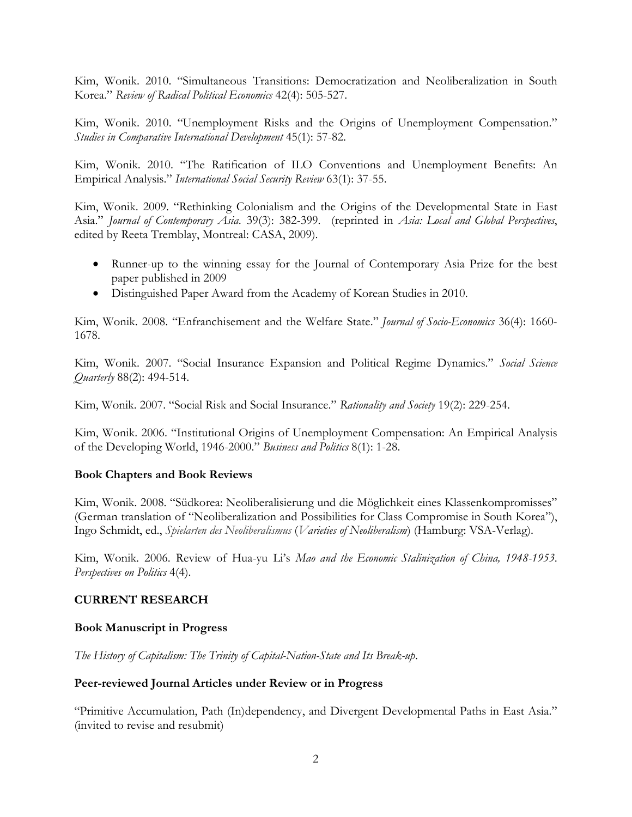Kim, Wonik. 2010. "Simultaneous Transitions: Democratization and Neoliberalization in South Korea." *Review of Radical Political Economics* 42(4): 505-527.

Kim, Wonik. 2010. "Unemployment Risks and the Origins of Unemployment Compensation." *Studies in Comparative International Development* 45(1): 57-82.

Kim, Wonik. 2010. "The Ratification of ILO Conventions and Unemployment Benefits: An Empirical Analysis." *International Social Security Review* 63(1): 37-55.

Kim, Wonik. 2009. "Rethinking Colonialism and the Origins of the Developmental State in East Asia." *Journal of Contemporary Asia*. 39(3): 382-399. (reprinted in *Asia: Local and Global Perspectives*, edited by Reeta Tremblay, Montreal: CASA, 2009).

- Runner-up to the winning essay for the Journal of Contemporary Asia Prize for the best paper published in 2009
- Distinguished Paper Award from the Academy of Korean Studies in 2010.

Kim, Wonik. 2008. "Enfranchisement and the Welfare State." *Journal of Socio-Economics* 36(4): 1660- 1678.

Kim, Wonik. 2007. "Social Insurance Expansion and Political Regime Dynamics." *Social Science Quarterly* 88(2): 494-514.

Kim, Wonik. 2007. "Social Risk and Social Insurance." *Rationality and Society* 19(2): 229-254.

Kim, Wonik. 2006. "Institutional Origins of Unemployment Compensation: An Empirical Analysis of the Developing World, 1946-2000." *Business and Politics* 8(1): 1-28.

## **Book Chapters and Book Reviews**

Kim, Wonik. 2008. "Südkorea: Neoliberalisierung und die Möglichkeit eines Klassenkompromisses" (German translation of "Neoliberalization and Possibilities for Class Compromise in South Korea"), Ingo Schmidt, ed., *Spielarten des Neoliberalismus* (*Varieties of Neoliberalism*) (Hamburg: VSA-Verlag).

Kim, Wonik. 2006. Review of Hua-yu Li's *Mao and the Economic Stalinization of China, 1948-1953*. *Perspectives on Politics* 4(4).

## **CURRENT RESEARCH**

## **Book Manuscript in Progress**

*The History of Capitalism: The Trinity of Capital-Nation-State and Its Break-up*.

#### **Peer-reviewed Journal Articles under Review or in Progress**

"Primitive Accumulation, Path (In)dependency, and Divergent Developmental Paths in East Asia." (invited to revise and resubmit)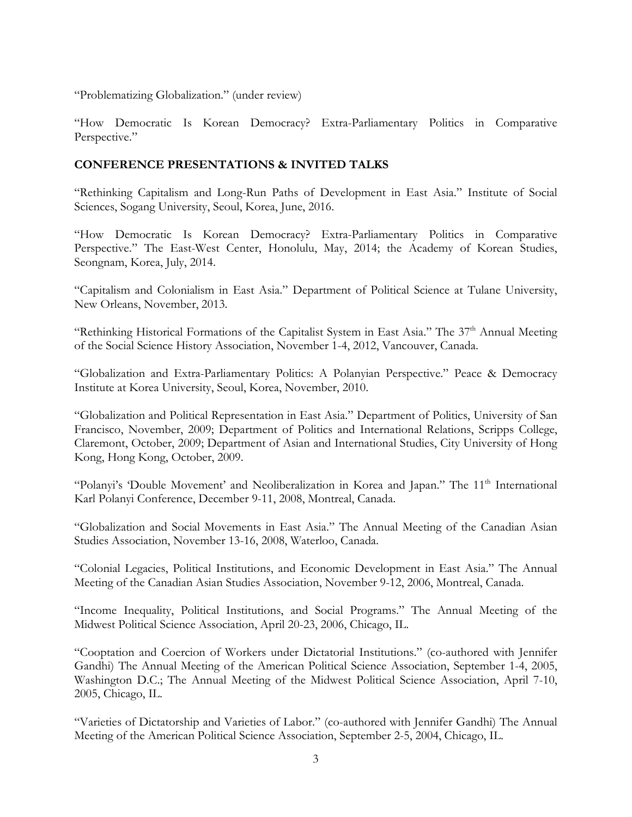"Problematizing Globalization." (under review)

"How Democratic Is Korean Democracy? Extra-Parliamentary Politics in Comparative Perspective."

## **CONFERENCE PRESENTATIONS & INVITED TALKS**

"Rethinking Capitalism and Long-Run Paths of Development in East Asia." Institute of Social Sciences, Sogang University, Seoul, Korea, June, 2016.

"How Democratic Is Korean Democracy? Extra-Parliamentary Politics in Comparative Perspective." The East-West Center, Honolulu, May, 2014; the Academy of Korean Studies, Seongnam, Korea, July, 2014.

"Capitalism and Colonialism in East Asia." Department of Political Science at Tulane University, New Orleans, November, 2013.

"Rethinking Historical Formations of the Capitalist System in East Asia." The 37<sup>th</sup> Annual Meeting of the Social Science History Association, November 1-4, 2012, Vancouver, Canada.

"Globalization and Extra-Parliamentary Politics: A Polanyian Perspective." Peace & Democracy Institute at Korea University, Seoul, Korea, November, 2010.

"Globalization and Political Representation in East Asia." Department of Politics, University of San Francisco, November, 2009; Department of Politics and International Relations, Scripps College, Claremont, October, 2009; Department of Asian and International Studies, City University of Hong Kong, Hong Kong, October, 2009.

"Polanyi's 'Double Movement' and Neoliberalization in Korea and Japan." The 11<sup>th</sup> International Karl Polanyi Conference, December 9-11, 2008, Montreal, Canada.

"Globalization and Social Movements in East Asia." The Annual Meeting of the Canadian Asian Studies Association, November 13-16, 2008, Waterloo, Canada.

"Colonial Legacies, Political Institutions, and Economic Development in East Asia." The Annual Meeting of the Canadian Asian Studies Association, November 9-12, 2006, Montreal, Canada.

"Income Inequality, Political Institutions, and Social Programs." The Annual Meeting of the Midwest Political Science Association, April 20-23, 2006, Chicago, IL.

"Cooptation and Coercion of Workers under Dictatorial Institutions." (co-authored with Jennifer Gandhi) The Annual Meeting of the American Political Science Association, September 1-4, 2005, Washington D.C.; The Annual Meeting of the Midwest Political Science Association, April 7-10, 2005, Chicago, IL.

"Varieties of Dictatorship and Varieties of Labor." (co-authored with Jennifer Gandhi) The Annual Meeting of the American Political Science Association, September 2-5, 2004, Chicago, IL.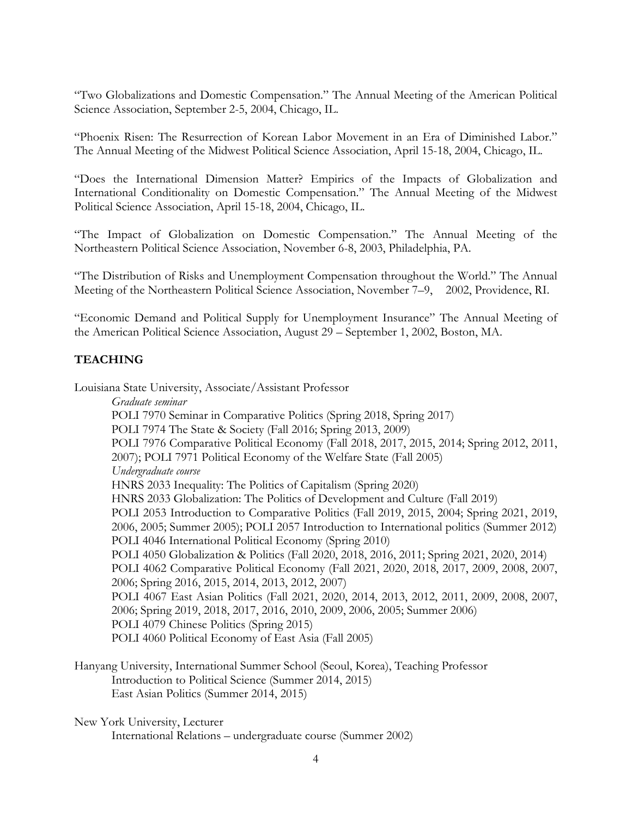"Two Globalizations and Domestic Compensation." The Annual Meeting of the American Political Science Association, September 2-5, 2004, Chicago, IL.

"Phoenix Risen: The Resurrection of Korean Labor Movement in an Era of Diminished Labor." The Annual Meeting of the Midwest Political Science Association, April 15-18, 2004, Chicago, IL.

"Does the International Dimension Matter? Empirics of the Impacts of Globalization and International Conditionality on Domestic Compensation." The Annual Meeting of the Midwest Political Science Association, April 15-18, 2004, Chicago, IL.

"The Impact of Globalization on Domestic Compensation." The Annual Meeting of the Northeastern Political Science Association, November 6-8, 2003, Philadelphia, PA.

"The Distribution of Risks and Unemployment Compensation throughout the World." The Annual Meeting of the Northeastern Political Science Association, November 7–9, 2002, Providence, RI.

"Economic Demand and Political Supply for Unemployment Insurance" The Annual Meeting of the American Political Science Association, August 29 – September 1, 2002, Boston, MA.

# **TEACHING**

Louisiana State University, Associate/Assistant Professor

*Graduate seminar* POLI 7970 Seminar in Comparative Politics (Spring 2018, Spring 2017) POLI 7974 The State & Society (Fall 2016; Spring 2013, 2009) POLI 7976 Comparative Political Economy (Fall 2018, 2017, 2015, 2014; Spring 2012, 2011, 2007); POLI 7971 Political Economy of the Welfare State (Fall 2005) *Undergraduate course* HNRS 2033 Inequality: The Politics of Capitalism (Spring 2020) HNRS 2033 Globalization: The Politics of Development and Culture (Fall 2019) POLI 2053 Introduction to Comparative Politics (Fall 2019, 2015, 2004; Spring 2021, 2019, 2006, 2005; Summer 2005); POLI 2057 Introduction to International politics (Summer 2012) POLI 4046 International Political Economy (Spring 2010) POLI 4050 Globalization & Politics (Fall 2020, 2018, 2016, 2011; Spring 2021, 2020, 2014) POLI 4062 Comparative Political Economy (Fall 2021, 2020, 2018, 2017, 2009, 2008, 2007, 2006; Spring 2016, 2015, 2014, 2013, 2012, 2007) POLI 4067 East Asian Politics (Fall 2021, 2020, 2014, 2013, 2012, 2011, 2009, 2008, 2007, 2006; Spring 2019, 2018, 2017, 2016, 2010, 2009, 2006, 2005; Summer 2006) POLI 4079 Chinese Politics (Spring 2015) POLI 4060 Political Economy of East Asia (Fall 2005)

Hanyang University, International Summer School (Seoul, Korea), Teaching Professor Introduction to Political Science (Summer 2014, 2015) East Asian Politics (Summer 2014, 2015)

New York University, Lecturer

International Relations – undergraduate course (Summer 2002)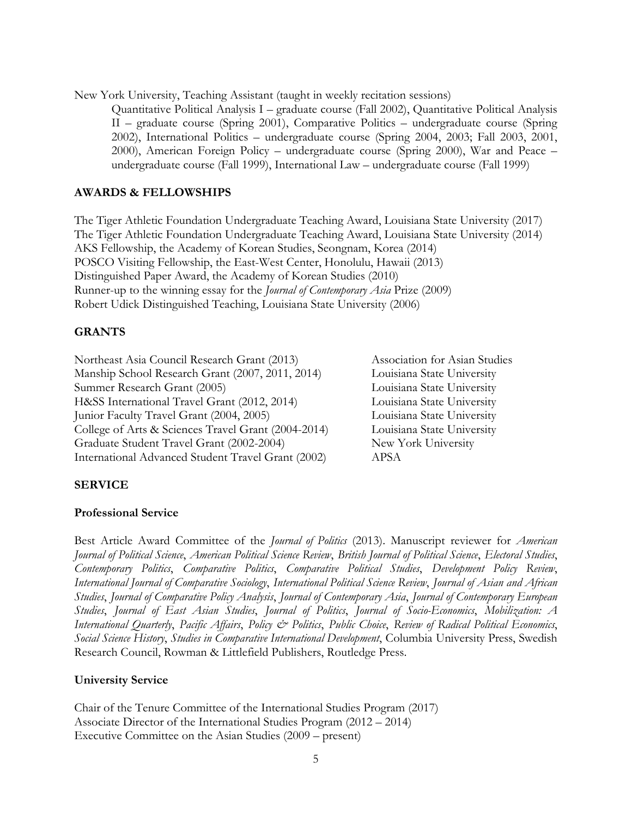New York University, Teaching Assistant (taught in weekly recitation sessions)

Quantitative Political Analysis I – graduate course (Fall 2002), Quantitative Political Analysis II – graduate course (Spring 2001), Comparative Politics – undergraduate course (Spring 2002), International Politics – undergraduate course (Spring 2004, 2003; Fall 2003, 2001, 2000), American Foreign Policy – undergraduate course (Spring 2000), War and Peace – undergraduate course (Fall 1999), International Law – undergraduate course (Fall 1999)

## **AWARDS & FELLOWSHIPS**

The Tiger Athletic Foundation Undergraduate Teaching Award, Louisiana State University (2017) The Tiger Athletic Foundation Undergraduate Teaching Award, Louisiana State University (2014) AKS Fellowship, the Academy of Korean Studies, Seongnam, Korea (2014) POSCO Visiting Fellowship, the East-West Center, Honolulu, Hawaii (2013) Distinguished Paper Award, the Academy of Korean Studies (2010) Runner-up to the winning essay for the *Journal of Contemporary Asia* Prize (2009) Robert Udick Distinguished Teaching, Louisiana State University (2006)

## **GRANTS**

Northeast Asia Council Research Grant (2013) Association for Asian Studies Manship School Research Grant (2007, 2011, 2014) Louisiana State University Summer Research Grant (2005) Louisiana State University H&SS International Travel Grant (2012, 2014) Louisiana State University Junior Faculty Travel Grant (2004, 2005) Louisiana State University College of Arts & Sciences Travel Grant (2004-2014) Louisiana State University Graduate Student Travel Grant (2002-2004) New York University International Advanced Student Travel Grant (2002) APSA

# **SERVICE**

## **Professional Service**

Best Article Award Committee of the *Journal of Politics* (2013). Manuscript reviewer for *American Journal of Political Science*, *American Political Science Review*, *British Journal of Political Science*, *Electoral Studies*, *Contemporary Politics*, *Comparative Politics*, *Comparative Political Studies*, *Development Policy Review*, *International Journal of Comparative Sociology*, *International Political Science Review*, *Journal of Asian and African Studies*, *Journal of Comparative Policy Analysis*, *Journal of Contemporary Asia*, *Journal of Contemporary European Studies*, *Journal of East Asian Studies*, *Journal of Politics*, *Journal of Socio-Economics*, *Mobilization: A International Quarterly*, *Pacific Affairs*, *Policy & Politics*, *Public Choice*, *Review of Radical Political Economics*, *Social Science History*, *Studies in Comparative International Development*, Columbia University Press, Swedish Research Council, Rowman & Littlefield Publishers, Routledge Press.

## **University Service**

Chair of the Tenure Committee of the International Studies Program (2017) Associate Director of the International Studies Program (2012 – 2014) Executive Committee on the Asian Studies (2009 – present)